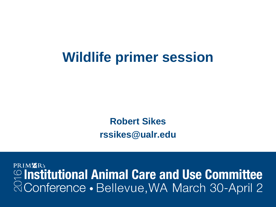#### **Wildlife primer session**

**Robert Sikes rssikes@ualr.edu**

PRIMER's  $\mathcal{L}$  Institutional Animal Care and Use Committee & Conference · Bellevue, WA March 30-April 2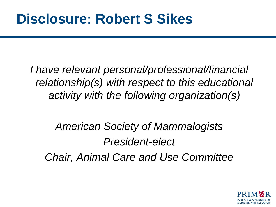*I have relevant personal/professional/financial relationship(s) with respect to this educational activity with the following organization(s)*

*American Society of Mammalogists President-elect Chair, Animal Care and Use Committee*

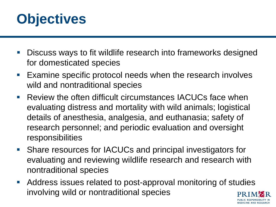

- Discuss ways to fit wildlife research into frameworks designed for domesticated species
- **Examine specific protocol needs when the research involves** wild and nontraditional species
- **Review the often difficult circumstances IACUCs face when** evaluating distress and mortality with wild animals; logistical details of anesthesia, analgesia, and euthanasia; safety of research personnel; and periodic evaluation and oversight responsibilities
- Share resources for IACUCs and principal investigators for evaluating and reviewing wildlife research and research with nontraditional species
- Address issues related to post-approval monitoring of studies involving wild or nontraditional species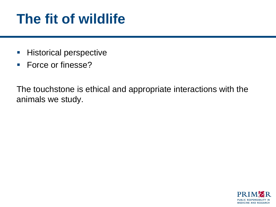## **The fit of wildlife**

- **Historical perspective**
- **Force or finesse?**

The touchstone is ethical and appropriate interactions with the animals we study.

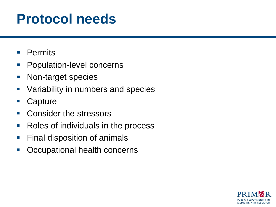### **Protocol needs**

- **Permits**
- **Population-level concerns**
- **Non-target species**
- **Variability in numbers and species**
- Capture
- Consider the stressors
- Roles of individuals in the process
- **Final disposition of animals**
- **Occupational health concerns**

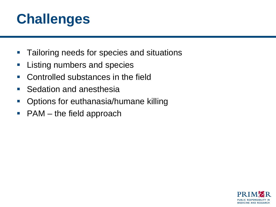# **Challenges**

- **Tailoring needs for species and situations**
- **Listing numbers and species**
- Controlled substances in the field
- Sedation and anesthesia
- **Options for euthanasia/humane killing**
- $\blacksquare$  PAM the field approach

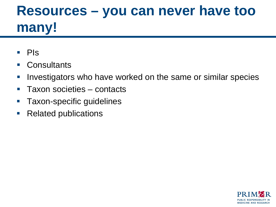# **Resources – you can never have too many!**

- $\blacksquare$  PIs
- Consultants
- **I.** Investigators who have worked on the same or similar species
- Taxon societies contacts
- **Taxon-specific guidelines**
- Related publications